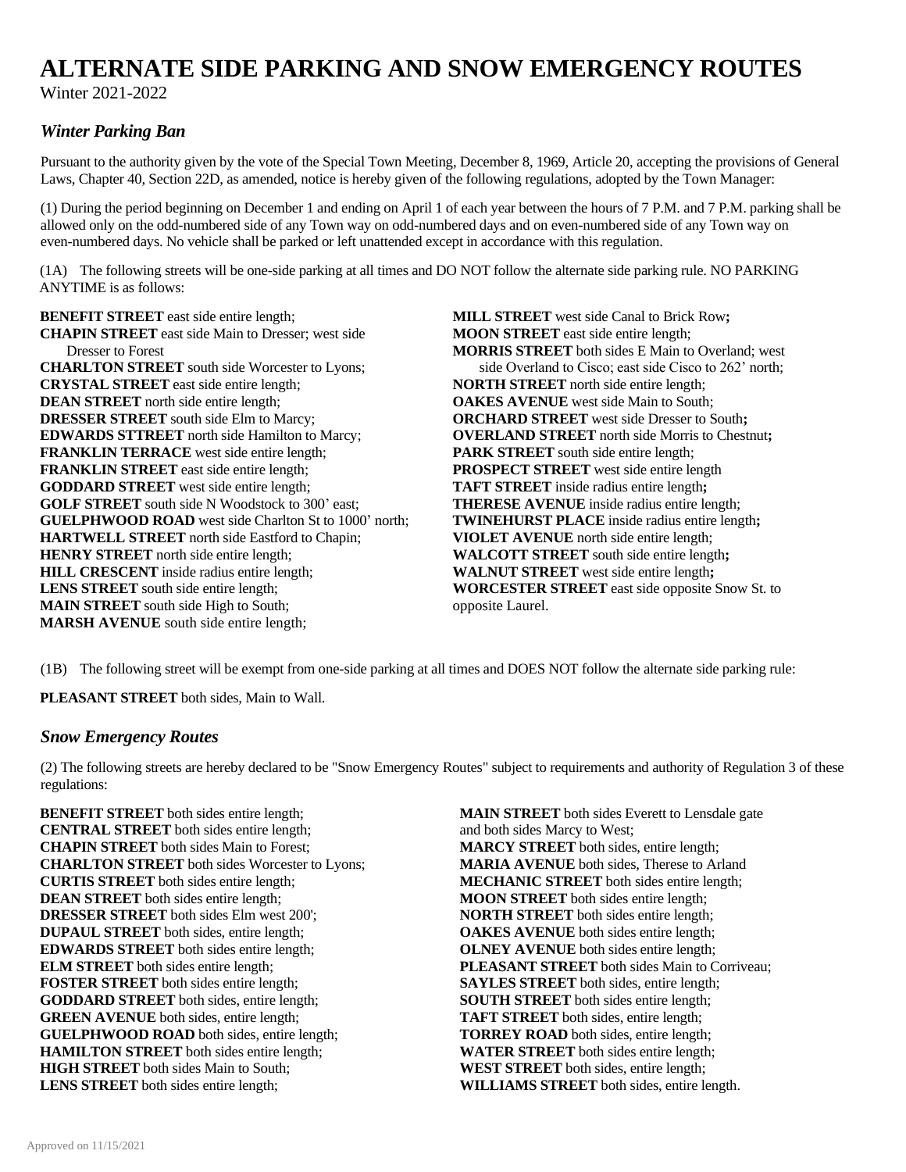# **ALTERNATE SIDE PARKING AND SNOW EMERGENCY ROUTES**

Winter 2021-2022

# *Winter Parking Ban*

Pursuant to the authority given by the vote of the Special Town Meeting, December 8, 1969, Article 20, accepting the provisions of General Laws, Chapter 40, Section 22D, as amended, notice is hereby given of the following regulations, adopted by the Town Manager:

(1) During the period beginning on December 1 and ending on April 1 of each year between the hours of 7 P.M. and 7 P.M. parking shall be allowed only on the odd-numbered side of any Town way on odd-numbered days and on even-numbered side of any Town way on even-numbered days. No vehicle shall be parked or left unattended except in accordance with this regulation.

(1A) The following streets will be one-side parking at all times and DO NOT follow the alternate side parking rule. NO PARKING ANYTIME is as follows:

**BENEFIT STREET** east side entire length; **MILL STREET** west side Canal to Brick Row; **CHAPIN STREET** east side Main to Dresser; west side **MOON STREET** east side entire length; Dresser to Forest **MORRIS STREET** both sides E Main to Overland; west **CHARLTON STREET** south side Worcester to Lyons; side Overland to Cisco; east side Cisco to 262' north; **CRYSTAL STREET** east side entire length; **NORTH STREET** north side entire length; **DEAN STREET** north side entire length; **OAKES AVENUE** west side Main to South; **DRESSER STREET** south side Elm to Marcy; **ORCHARD STREET** west side Dresser to South; **EDWARDS STTREET** north side Hamilton to Marcy; **OVERLAND STREET** north side Morris to Chestnut; **FRANKLIN TERRACE** west side entire length; **PARK STREET** south side entire length; **FRANKLIN STREET** east side entire length; **PROSPECT STREET** west side entire length **GODDARD STREET** west side entire length; **TAFT STREET** inside radius entire length**; GOLF STREET** south side N Woodstock to 300' east; **THERESE AVENUE** inside radius entire length; **GUELPHWOOD ROAD** west side Charlton St to 1000' north; **TWINEHURST PLACE** inside radius entire length; **HARTWELL STREET** north side Eastford to Chapin; **VIOLET AVENUE** north side entire length; **HARTWELL STREET** north side Eastford to Chapin; **HENRY STREET** north side entire length; **WALCOTT STREET** south side entire length; **HILL CRESCENT** inside radius entire length; **WALNUT STREET** west side entire length; **WALNUT STREET** east side opposite (*WORCESTER STREET* east side opposite) **MAIN STREET** south side High to South; opposite Laurel. **MARSH AVENUE** south side entire length;

**WORCESTER STREET** east side opposite Snow St. to

(1B) The following street will be exempt from one-side parking at all times and DOES NOT follow the alternate side parking rule:

**PLEASANT STREET** both sides, Main to Wall.

#### *Snow Emergency Routes*

(2) The following streets are hereby declared to be "Snow Emergency Routes" subject to requirements and authority of Regulation 3 of these regulations:

**BENEFIT STREET** both sides entire length; **MAIN STREET** both sides Everett to Lensdale gate<br>**CENTRAL STREET** both sides entire length; and both sides Marcy to West; **CENTRAL STREET** both sides entire length; **CHAPIN STREET** both sides Main to Forest; **MARCY STREET** both sides, entire length;<br> **CHARLTON STREET** both sides Worcester to Lyons; **MARIA AVENUE** both sides, Therese to Arland **CHARLTON STREET** both sides Worcester to Lyons; **CURTIS STREET** both sides entire length; **MECHANIC STREET** both sides entire length; **DEAN STREET** both sides entire length; **MOON STREET** both sides entire length; **DRESSER STREET** both sides Elm west 200'; **NORTH STREET** both sides entire length; **DUPAUL STREET** both sides, entire length; **OAKES AVENUE** both sides entire length; **EDWARDS STREET** both sides entire length; **OLNEY AVENUE** both sides entire length; **PLEASANT STREET** both sides Main to C **FOSTER STREET** both sides entire length; **SAYLES STREET** both sides, entire length; **GODDARD STREET** both sides, entire length; **SOUTH STREET** both sides entire length; **GREEN AVENUE** both sides, entire length;<br> **GUELPHWOOD ROAD** both sides, entire length;<br> **TAFT STREET** both sides, entire length;<br> **TORREY ROAD** both sides, entire length; **GUELPHWOOD ROAD** both sides, entire length; **HAMILTON STREET** both sides entire length; **WATER STREET** both sides entire length; **HIGH STREET** both sides Main to South; **WEST STREET** both sides, entire length; **LENS STREET** both sides entire length; **WILLIAMS STREET** both sides, entire length.

**PLEASANT STREET** both sides Main to Corriveau;